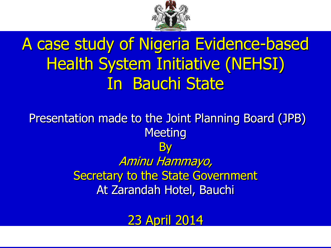

## A case study of Nigeria Evidence-based Health System Initiative (NEHSI) In Bauchi State

Presentation made to the Joint Planning Board (JPB) **Meeting By** Aminu Hammayo, Secretary to the State Government At Zarandah Hotel, Bauchi

23 April 2014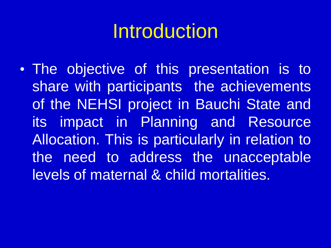# Introduction

• The objective of this presentation is to share with participants the achievements of the NEHSI project in Bauchi State and its impact in Planning and Resource Allocation. This is particularly in relation to the need to address the unacceptable levels of maternal & child mortalities.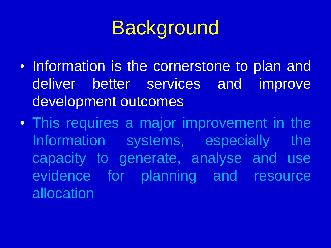# **Background**

- Information is the cornerstone to plan and deliver better services and improve development outcomes
- This requires a major improvement in the Information systems, especially the capacity to generate, analyse and use evidence for planning and resource allocation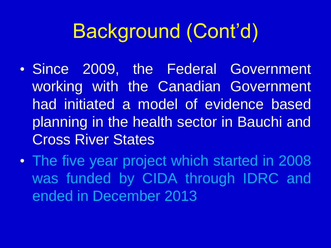# Background (Cont'd)

- Since 2009, the Federal Government working with the Canadian Government had initiated a model of evidence based planning in the health sector in Bauchi and Cross River States
- The five year project which started in 2008 was funded by CIDA through IDRC and ended in December 2013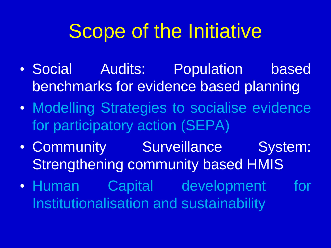# Scope of the Initiative

- Social Audits: Population based benchmarks for evidence based planning
- Modelling Strategies to socialise evidence for participatory action (SEPA)
- Community Surveillance System: Strengthening community based HMIS
- Human Capital development for Institutionalisation and sustainability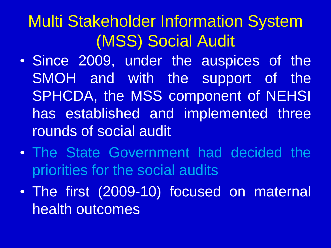## Multi Stakeholder Information System (MSS) Social Audit

- Since 2009, under the auspices of the SMOH and with the support of the SPHCDA, the MSS component of NEHSI has established and implemented three rounds of social audit
- The State Government had decided the priorities for the social audits
- The first (2009-10) focused on maternal health outcomes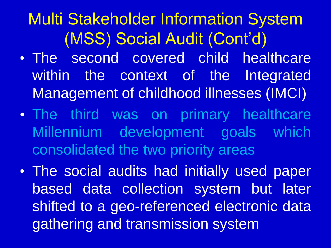## Multi Stakeholder Information System (MSS) Social Audit (Cont'd)

- The second covered child healthcare within the context of the Integrated Management of childhood illnesses (IMCI)
- The third was on primary healthcare Millennium development goals which consolidated the two priority areas
- The social audits had initially used paper based data collection system but later shifted to a geo-referenced electronic data gathering and transmission system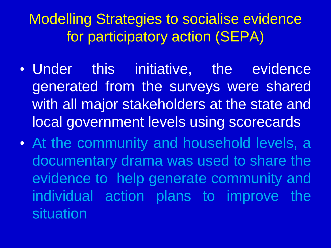Modelling Strategies to socialise evidence for participatory action (SEPA)

- Under this initiative, the evidence generated from the surveys were shared with all major stakeholders at the state and local government levels using scorecards
- At the community and household levels, a documentary drama was used to share the evidence to help generate community and individual action plans to improve the situation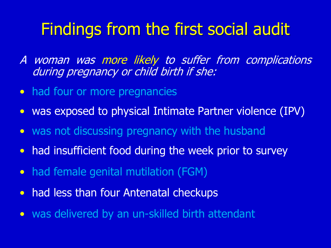### Findings from the first social audit

A woman was more likely to suffer from complications during pregnancy or child birth if she:

- had four or more pregnancies
- was exposed to physical Intimate Partner violence (IPV)
- was not discussing pregnancy with the husband
- had insufficient food during the week prior to survey
- had female genital mutilation (FGM)
- had less than four Antenatal checkups
- was delivered by an un-skilled birth attendant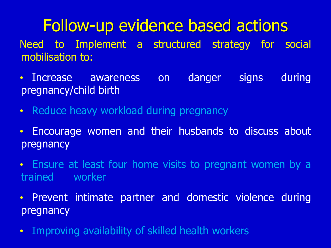## Follow-up evidence based actions

Need to Implement a structured strategy for social mobilisation to:

- Increase awareness on danger signs during pregnancy/child birth
- Reduce heavy workload during pregnancy
- Encourage women and their husbands to discuss about pregnancy
- Ensure at least four home visits to pregnant women by a trained worker
- Prevent intimate partner and domestic violence during pregnancy
- Improving availability of skilled health workers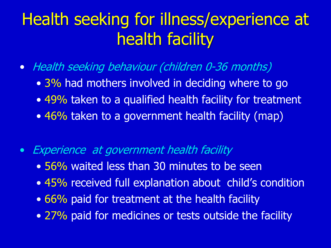## Health seeking for illness/experience at health facility

- Health seeking behaviour (children 0-36 months)
	- 3% had mothers involved in deciding where to go
	- 49% taken to a qualified health facility for treatment
	- 46% taken to a government health facility (map)
- Experience at government health facility
	- 56% waited less than 30 minutes to be seen
	- 45% received full explanation about child's condition
	- 66% paid for treatment at the health facility
	- 27% paid for medicines or tests outside the facility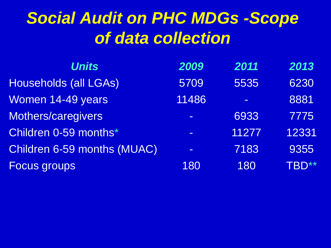## *Social Audit on PHC MDGs -Scope of data collection*

| <b>Units</b>                | 2009     | 2011  | 2013  |
|-----------------------------|----------|-------|-------|
| Households (all LGAs)       | 5709     | 5535  | 6230  |
| Women 14-49 years           | 11486    |       | 8881  |
| Mothers/caregivers          | $\equiv$ | 6933  | 7775  |
| Children 0-59 months*       | $\equiv$ | 11277 | 12331 |
| Children 6-59 months (MUAC) | $\equiv$ | 7183  | 9355  |
| <b>Focus groups</b>         | 180      | 180   | TBD** |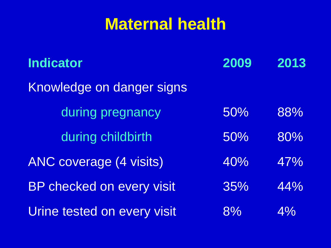### **Maternal health**

| <b>Indicator</b>               | 2009 | 2013 |
|--------------------------------|------|------|
| Knowledge on danger signs      |      |      |
| during pregnancy               | 50%  | 88%  |
| during childbirth              | 50%  | 80%  |
| <b>ANC coverage (4 visits)</b> | 40%  | 47%  |
| BP checked on every visit      | 35%  | 44%  |
| Urine tested on every visit    | 8%   | 4%   |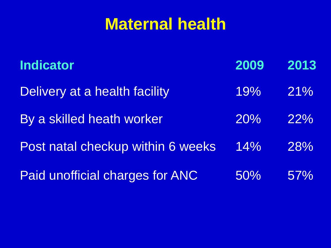### **Maternal health**

| <b>Indicator</b>                       | 2009 | 2013 |
|----------------------------------------|------|------|
| Delivery at a health facility          | 19%  | 21%  |
| By a skilled heath worker              | 20%  | 22%  |
| Post natal checkup within 6 weeks      | 14%  | 28%  |
| <b>Paid unofficial charges for ANC</b> | 50%  | 57%  |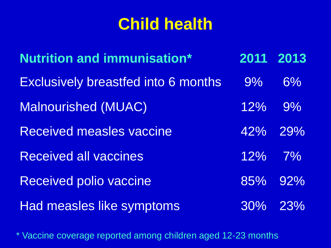| <b>Nutrition and immunisation*</b>         | 2011      | 2013    |
|--------------------------------------------|-----------|---------|
| <b>Exclusively breastfed into 6 months</b> | 9%        | $6\%$   |
| <b>Malnourished (MUAC)</b>                 | $12\%$    | $9\%$   |
| <b>Received measles vaccine</b>            |           | 42% 29% |
| <b>Received all vaccines</b>               | $12\%$ 7% |         |
| <b>Received polio vaccine</b>              |           | 85% 92% |
| Had measles like symptoms                  |           | 30% 23% |

\* Vaccine coverage reported among children aged 12-23 months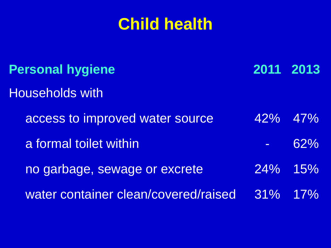| <b>Personal hygiene</b>              |     | 2011 2013  |
|--------------------------------------|-----|------------|
| <b>Households with</b>               |     |            |
| access to improved water source      |     | 42% 47%    |
| a formal toilet within               |     | 62%        |
| no garbage, sewage or excrete        |     | $24\%$ 15% |
| water container clean/covered/raised | 31% | 17%        |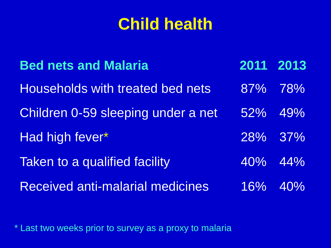| <b>Bed nets and Malaria</b>             | 2011 2013 |            |
|-----------------------------------------|-----------|------------|
| Households with treated bed nets        |           | 87% 78%    |
| Children 0-59 sleeping under a net      |           | 52% 49%    |
| Had high fever*                         |           | 28% 37%    |
| Taken to a qualified facility           |           | 40% 44%    |
| <b>Received anti-malarial medicines</b> |           | $16\%$ 40% |

\* Last two weeks prior to survey as a proxy to malaria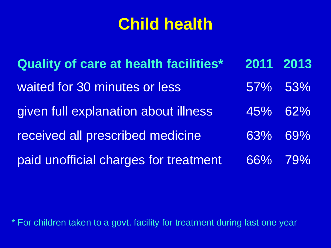**Quality of care at health facilities\* 2011 2013** waited for 30 minutes or less 67% 53% given full explanation about illness 45% 62% received all prescribed medicine 63% 69% paid unofficial charges for treatment 66% 79%

\* For children taken to a govt. facility for treatment during last one year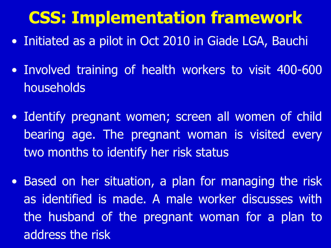## **CSS: Implementation framework**

- Initiated as a pilot in Oct 2010 in Giade LGA, Bauchi
- Involved training of health workers to visit 400-600 households
- Identify pregnant women; screen all women of child bearing age. The pregnant woman is visited every two months to identify her risk status
- Based on her situation, a plan for managing the risk as identified is made. A male worker discusses with the husband of the pregnant woman for a plan to address the risk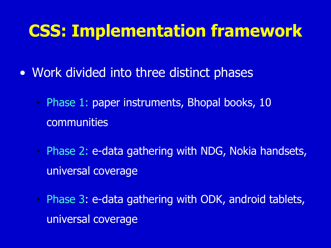### **CSS: Implementation framework**

- Work divided into three distinct phases
	- Phase 1: paper instruments, Bhopal books, 10 communities
	- Phase 2: e-data gathering with NDG, Nokia handsets, universal coverage
	- Phase 3: e-data gathering with ODK, android tablets, universal coverage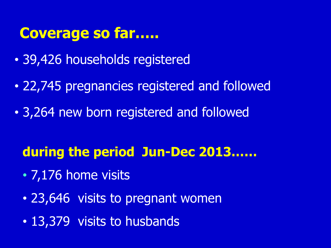#### **Coverage so far…..**

- 39,426 households registered
- 22,745 pregnancies registered and followed
- 3,264 new born registered and followed

#### **during the period Jun-Dec 2013……**

- 7,176 home visits
- 23,646 visits to pregnant women
- 13,379 visits to husbands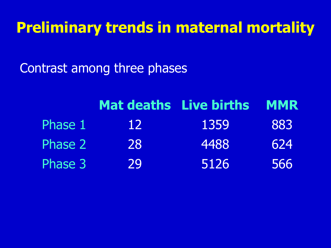### **Preliminary trends in maternal mortality**

Contrast among three phases

|         |    | <b>Mat deaths Live births</b> | <b>MMR</b> |
|---------|----|-------------------------------|------------|
| Phase 1 | 12 | 1359                          | 883        |
| Phase 2 | 28 | 4488                          | 624        |
| Phase 3 | 29 | 5126                          | 566        |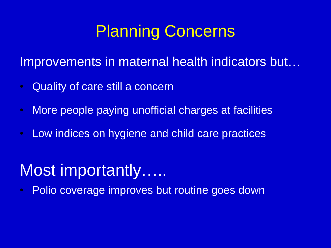### Planning Concerns

Improvements in maternal health indicators but…

- Quality of care still a concern
- More people paying unofficial charges at facilities
- Low indices on hygiene and child care practices

### Most importantly……

• Polio coverage improves but routine goes down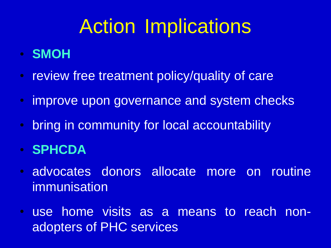# Action Implications

- **SMOH**
- review free treatment policy/quality of care
- improve upon governance and system checks
- bring in community for local accountability
- **SPHCDA**
- advocates donors allocate more on routine immunisation
- use home visits as a means to reach nonadopters of PHC services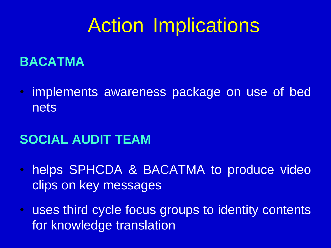# Action Implications

#### **BACATMA**

• implements awareness package on use of bed nets

#### **SOCIAL AUDIT TEAM**

- helps SPHCDA & BACATMA to produce video clips on key messages
- uses third cycle focus groups to identity contents for knowledge translation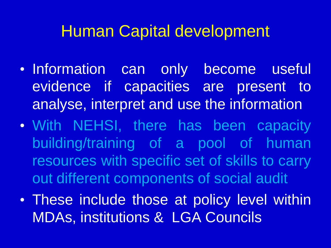### Human Capital development

- Information can only become useful evidence if capacities are present to analyse, interpret and use the information
- With NEHSI, there has been capacity building/training of a pool of human resources with specific set of skills to carry out different components of social audit
- These include those at policy level within MDAs, institutions & LGA Councils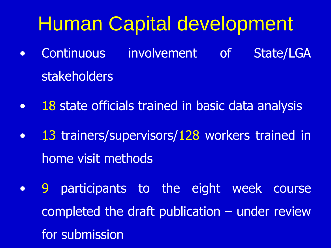# Human Capital development

- Continuous involvement of State/LGA stakeholders
- 18 state officials trained in basic data analysis
- 13 trainers/supervisors/128 workers trained in home visit methods
- 9 participants to the eight week course completed the draft publication – under review for submission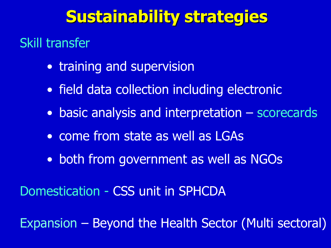### **Sustainability strategies**

#### Skill transfer

- training and supervision
- field data collection including electronic
- basic analysis and interpretation scorecards
- come from state as well as LGAs
- both from government as well as NGOs

Domestication - CSS unit in SPHCDA

Expansion – Beyond the Health Sector (Multi sectoral)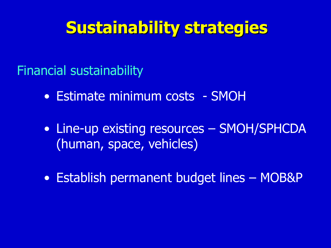### **Sustainability strategies**

Financial sustainability

- Estimate minimum costs SMOH
- Line-up existing resources SMOH/SPHCDA (human, space, vehicles)
- Establish permanent budget lines MOB&P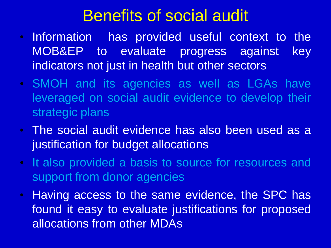### Benefits of social audit

- Information has provided useful context to the MOB&EP to evaluate progress against key indicators not just in health but other sectors
- SMOH and its agencies as well as LGAs have leveraged on social audit evidence to develop their strategic plans
- The social audit evidence has also been used as a justification for budget allocations
- It also provided a basis to source for resources and support from donor agencies
- Having access to the same evidence, the SPC has found it easy to evaluate justifications for proposed allocations from other MDAs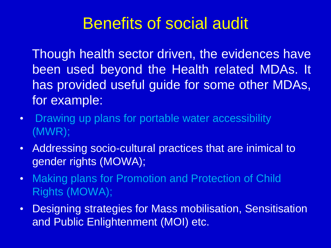### Benefits of social audit

Though health sector driven, the evidences have been used beyond the Health related MDAs. It has provided useful guide for some other MDAs, for example:

- Drawing up plans for portable water accessibility (MWR);
- Addressing socio-cultural practices that are inimical to gender rights (MOWA);
- Making plans for Promotion and Protection of Child Rights (MOWA);
- Designing strategies for Mass mobilisation, Sensitisation and Public Enlightenment (MOI) etc.